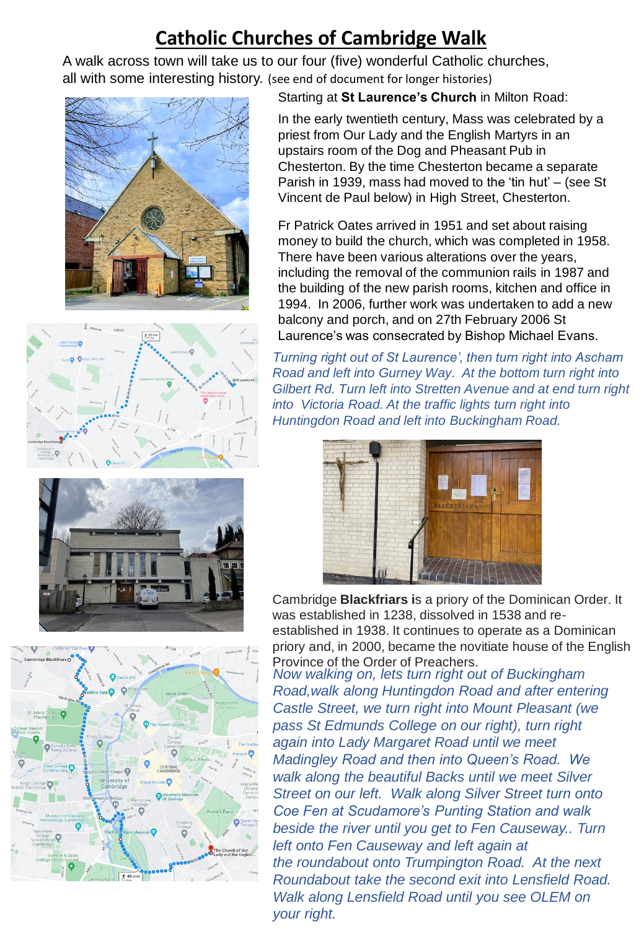# **Catholic Churches of Cambridge Walk**

A walk across town will take us to our four (five) wonderful Catholic churches, all with some interesting history. (see end of document for longer histories)





Starting at **St Laurence's Church** in Milton Road:

In the early twentieth century, Mass was celebrated by a priest from Our Lady and the English Martyrs in an upstairs room of the Dog and Pheasant Pub in Chesterton. By the time Chesterton became a separate Parish in 1939, mass had moved to the 'tin hut' – (see St Vincent de Paul below) in High Street, Chesterton.

Fr Patrick Oates arrived in 1951 and set about raising money to build the church, which was completed in 1958. There have been various alterations over the years, including the removal of the communion rails in 1987 and the building of the new parish rooms, kitchen and office in 1994. In 2006, further work was undertaken to add a new balcony and porch, and on 27th February 2006 St Laurence's was consecrated by Bishop Michael Evans.

*Turning right out of St Laurence', then turn right into Ascham Road and left into Gurney Way. At the bottom turn right into Gilbert Rd. Turn left into Stretten Avenue and at end turn right into Victoria Road. At the traffic lights turn right into Huntingdon Road and left into Buckingham Road.*



Cambridge **Blackfriars i**s a priory of the Dominican Order. It was established in 1238, dissolved in 1538 and reestablished in 1938. It continues to operate as a Dominican priory and, in 2000, became the novitiate house of the English Province of the Order of Preachers.

*Now walking on, lets turn right out of Buckingham Road,walk along Huntingdon Road and after entering Castle Street, we turn right into Mount Pleasant (we pass St Edmunds College on our right), turn right again into Lady Margaret Road until we meet Madingley Road and then into Queen's Road. We walk along the beautiful Backs until we meet Silver Street on our left. Walk along Silver Street turn onto Coe Fen at Scudamore's Punting Station and walk beside the river until you get to Fen Causeway.. Turn left onto Fen Causeway and left again at the roundabout onto Trumpington Road. At the next Roundabout take the second exit into Lensfield Road. Walk along Lensfield Road until you see OLEM on your right.*



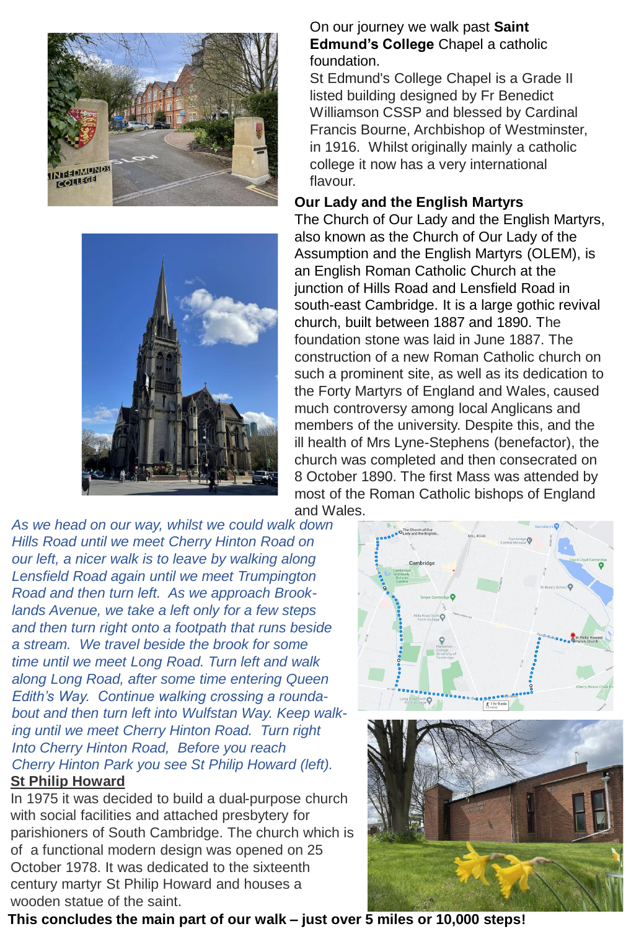



*As we head on our way, whilst we could walk down Hills Road until we meet Cherry Hinton Road on our left, a nicer walk is to leave by walking along Lensfield Road again until we meet Trumpington Road and then turn left. As we approach Brooklands Avenue, we take a left only for a few steps and then turn right onto a footpath that runs beside a stream. We travel beside the brook for some time until we meet Long Road. Turn left and walk along Long Road, after some time entering Queen Edith's Way. Continue walking crossing a roundabout and then turn left into Wulfstan Way. Keep walking until we meet Cherry Hinton Road. Turn right Into Cherry Hinton Road, Before you reach Cherry Hinton Park you see St Philip Howard (left).* **St Philip Howard**

In 1975 it was decided to build a dual-purpose church with social facilities and attached presbytery for parishioners of South Cambridge. The church which is of a functional modern design was opened on 25 October 1978. It was dedicated to the sixteenth century martyr St Philip Howard and houses a wooden statue of the saint.

#### On our journey we walk past **Saint Edmund's College** Chapel a catholic foundation.

St Edmund's College Chapel is a Grade II listed building designed by Fr Benedict Williamson CSSP and blessed by Cardinal Francis Bourne, Archbishop of Westminster, in 1916. Whilst originally mainly a catholic college it now has a very international flavour.

### **Our Lady and the English Martyrs**

The Church of Our Lady and the English Martyrs, also known as the Church of Our Lady of the Assumption and the English Martyrs (OLEM), is an English Roman Catholic Church at the junction of Hills Road and Lensfield Road in south-east Cambridge. It is a large gothic revival church, built between 1887 and 1890. The foundation stone was laid in June 1887. The construction of a new Roman Catholic church on such a prominent site, as well as its dedication to the Forty Martyrs of England and Wales, caused much controversy among local Anglicans and members of the university. Despite this, and the ill health of Mrs Lyne-Stephens (benefactor), the church was completed and then consecrated on 8 October 1890. The first Mass was attended by most of the Roman Catholic bishops of England and Wales.





**This concludes the main part of our walk – just over 5 miles or 10,000 steps!**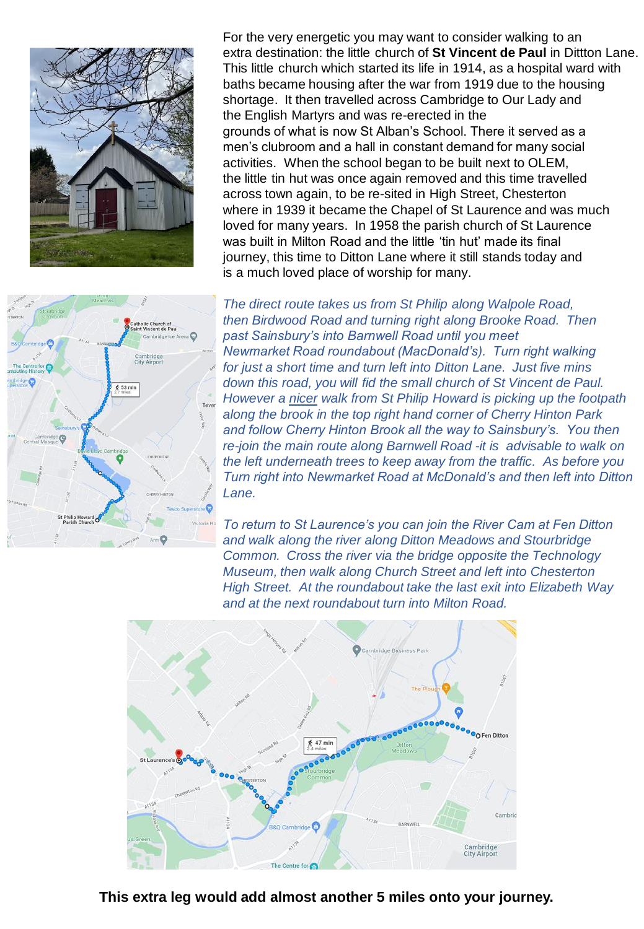

For the very energetic you may want to consider walking to an extra destination: the little church of **St Vincent de Paul** in Dittton Lane. This little church which started its life in 1914, as a hospital ward with baths became housing after the war from 1919 due to the housing shortage. It then travelled across Cambridge to Our Lady and the English Martyrs and was re-erected in the grounds of what is now St Alban's School. There it served as a men's clubroom and a hall in constant demand for many social activities. When the school began to be built next to OLEM, the little tin hut was once again removed and this time travelled across town again, to be re-sited in High Street, Chesterton where in 1939 it became the Chapel of St Laurence and was much loved for many years. In 1958 the parish church of St Laurence was built in Milton Road and the little 'tin hut' made its final journey, this time to Ditton Lane where it still stands today and is a much loved place of worship for many.



*The direct route takes us from St Philip along Walpole Road, then Birdwood Road and turning right along Brooke Road. Then past Sainsbury's into Barnwell Road until you meet Newmarket Road roundabout (MacDonald's). Turn right walking for just a short time and turn left into Ditton Lane. Just five mins down this road, you will fid the small church of St Vincent de Paul. However a nicer walk from St Philip Howard is picking up the footpath along the brook in the top right hand corner of Cherry Hinton Park and follow Cherry Hinton Brook all the way to Sainsbury's. You then re-join the main route along Barnwell Road -it is advisable to walk on the left underneath trees to keep away from the traffic. As before you Turn right into Newmarket Road at McDonald's and then left into Ditton Lane.*

*To return to St Laurence's you can join the River Cam at Fen Ditton and walk along the river along Ditton Meadows and Stourbridge Common. Cross the river via the bridge opposite the Technology Museum, then walk along Church Street and left into Chesterton High Street. At the roundabout take the last exit into Elizabeth Way and at the next roundabout turn into Milton Road.*



**This extra leg would add almost another 5 miles onto your journey.**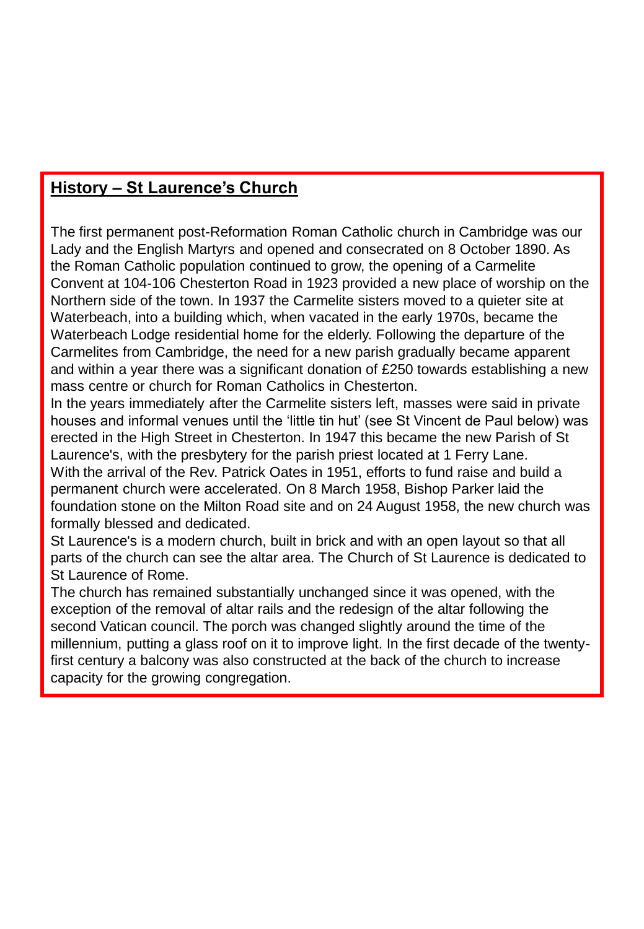### **History – St Laurence's Church**

The first permanent post-Reformation Roman Catholic church in Cambridge was our Lady and the English Martyrs and opened and consecrated on 8 October 1890. As the Roman Catholic population continued to grow, the opening of a Carmelite Convent at 104-106 Chesterton Road in 1923 provided a new place of worship on the Northern side of the town. In 1937 the Carmelite sisters moved to a quieter site at Waterbeach, into a building which, when vacated in the early 1970s, became the Waterbeach Lodge residential home for the elderly. Following the departure of the Carmelites from Cambridge, the need for a new parish gradually became apparent and within a year there was a significant donation of  $£250$  towards establishing a new mass centre or church for Roman Catholics in Chesterton.

In the years immediately after the Carmelite sisters left, masses were said in private houses and informal venues until the 'little tin hut' (see St Vincent de Paul below) was erected in the High Street in Chesterton. In 1947 this became the new Parish of St Laurence's, with the presbytery for the parish priest located at 1 Ferry Lane. With the arrival of the Rev. Patrick Oates in 1951, efforts to fund raise and build a permanent church were accelerated. On 8 March 1958, Bishop Parker laid the foundation stone on the Milton Road site and on 24 August 1958, the new church was formally blessed and dedicated.

St Laurence's is a modern church, built in brick and with an open layout so that all parts of the church can see the altar area. The Church of St Laurence is dedicated to St Laurence of Rome.

The church has remained substantially unchanged since it was opened, with the exception of the removal of altar rails and the redesign of the altar following the second Vatican council. The porch was changed slightly around the time of the millennium, putting a glass roof on it to improve light. In the first decade of the twentyfirst century a balcony was also constructed at the back of the church to increase capacity for the growing congregation.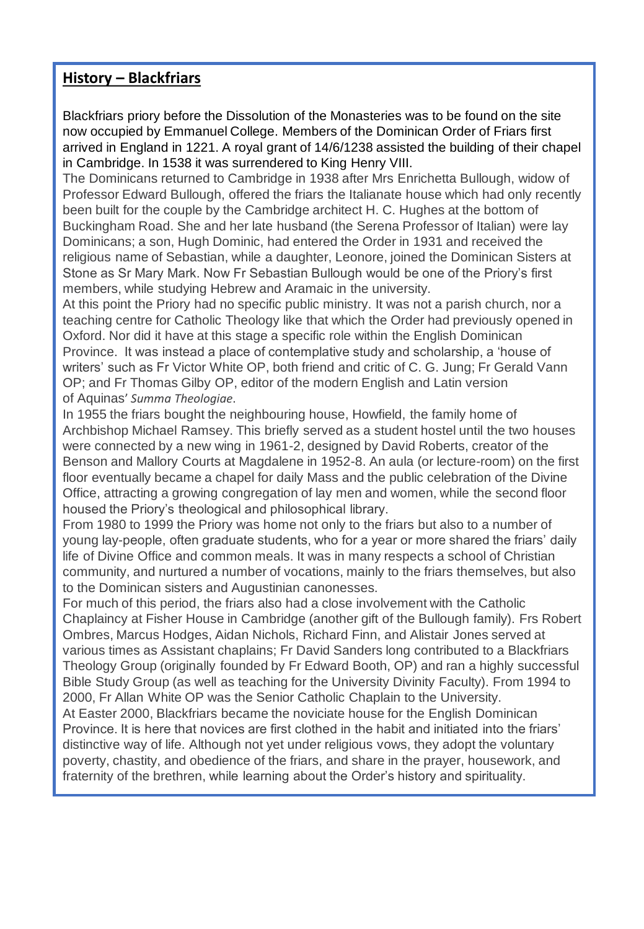### **History – Blackfriars**

Blackfriars priory before the Dissolution of the Monasteries was to be found on the site now occupied by Emmanuel College. Members of the Dominican Order of Friars first arrived in England in 1221. A royal grant of 14/6/1238 assisted the building of their chapel in Cambridge. In 1538 it was surrendered to King Henry VIII.

The Dominicans returned to Cambridge in 1938 after Mrs Enrichetta Bullough, widow of Professor Edward Bullough, offered the friars the Italianate house which had only recently been built for the couple by the Cambridge architect H. C. Hughes at the bottom of Buckingham Road. She and her late husband (the Serena Professor of Italian) were lay Dominicans; a son, Hugh Dominic, had entered the Order in 1931 and received the religious name of Sebastian, while a daughter, Leonore, joined the Dominican Sisters at Stone as Sr Mary Mark. Now Fr Sebastian Bullough would be one of the Priory's first members, while studying Hebrew and Aramaic in the university.

At this point the Priory had no specific public ministry. It was not a parish church, nor a teaching centre for Catholic Theology like that which the Order had previously opened in Oxford. Nor did it have at this stage a specific role within the English Dominican Province. It was instead a place of contemplative study and scholarship, a 'house of writers' such as Fr Victor White OP, both friend and critic of C. G. Jung; Fr Gerald Vann OP; and Fr Thomas Gilby OP, editor of the modern English and Latin version of Aquinas' *Summa Theologiae*.

In 1955 the friars bought the neighbouring house, Howfield, the family home of Archbishop Michael Ramsey. This briefly served as a student hostel until the two houses were connected by a new wing in 1961-2, designed by David Roberts, creator of the Benson and Mallory Courts at Magdalene in 1952-8. An aula (or lecture-room) on the first floor eventually became a chapel for daily Mass and the public celebration of the Divine Office, attracting a growing congregation of lay men and women, while the second floor housed the Priory's theological and philosophical library.

From 1980 to 1999 the Priory was home not only to the friars but also to a number of young lay-people, often graduate students, who for a year or more shared the friars' daily life of Divine Office and common meals. It was in many respects a school of Christian community, and nurtured a number of vocations, mainly to the friars themselves, but also to the Dominican sisters and Augustinian canonesses.

For much of this period, the friars also had a close involvement with the Catholic Chaplaincy at Fisher House in Cambridge (another gift of the Bullough family). Frs Robert Ombres, Marcus Hodges, Aidan Nichols, Richard Finn, and Alistair Jones served at various times as Assistant chaplains; Fr David Sanders long contributed to a Blackfriars Theology Group (originally founded by Fr Edward Booth, OP) and ran a highly successful Bible Study Group (as well as teaching for the University Divinity Faculty). From 1994 to 2000, Fr Allan White OP was the Senior Catholic Chaplain to the University.

At Easter 2000, Blackfriars became the noviciate house for the English Dominican Province. It is here that novices are first clothed in the habit and initiated into the friars' distinctive way of life. Although not yet under religious vows, they adopt the voluntary poverty, chastity, and obedience of the friars, and share in the prayer, housework, and fraternity of the brethren, while learning about the Order's history and spirituality.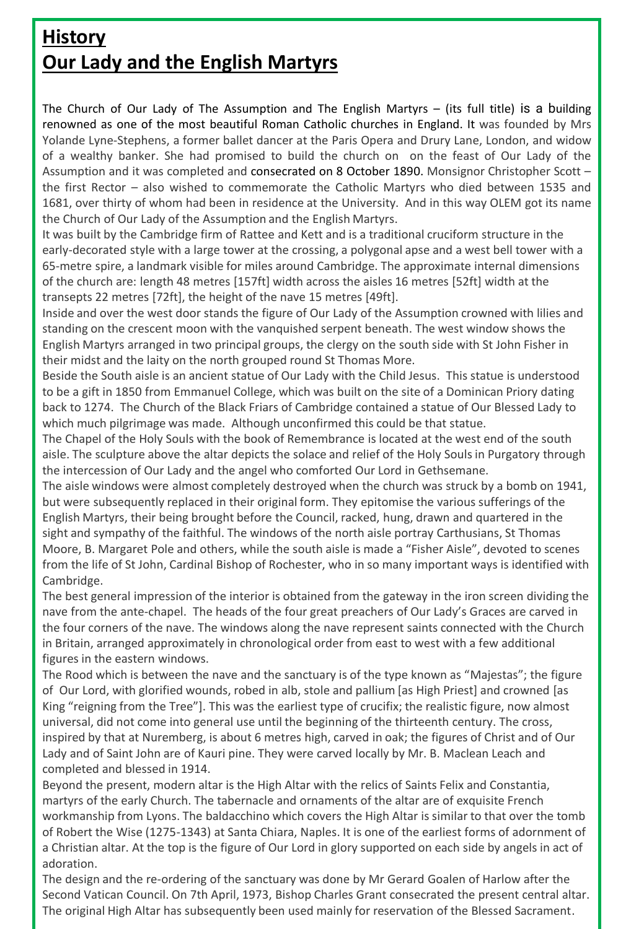## **History Our Lady and the English Martyrs**

The Church of Our Lady of The Assumption and The English Martyrs – (its full title) is a building renowned as one of the most beautiful Roman Catholic churches in England. It was founded by Mrs Yolande Lyne-Stephens, a former ballet dancer at the Paris Opera and Drury Lane, London, and widow of a wealthy banker. She had promised to build the church on on the feast of Our Lady of the Assumption and it was completed and consecrated on 8 October 1890. Monsignor Christopher Scott – the first Rector – also wished to commemorate the Catholic Martyrs who died between 1535 and 1681, over thirty of whom had been in residence at the University. And in this way OLEM got its name the Church of Our Lady of the Assumption and the English Martyrs.

It was built by the Cambridge firm of Rattee and Kett and is a traditional cruciform structure in the early-decorated style with a large tower at the crossing, a polygonal apse and a west bell tower with a 65-metre spire, a landmark visible for miles around Cambridge. The approximate internal dimensions of the church are: length 48 metres [157ft] width across the aisles 16 metres [52ft] width at the transepts 22 metres [72ft], the height of the nave 15 metres [49ft].

Inside and over the west door stands the figure of Our Lady of the Assumption crowned with lilies and standing on the crescent moon with the vanquished serpent beneath. The west window shows the English Martyrs arranged in two principal groups, the clergy on the south side with St John Fisher in their midst and the laity on the north grouped round St Thomas More.

Beside the South aisle is an ancient statue of Our Lady with the Child Jesus. This statue is understood to be a gift in 1850 from Emmanuel College, which was built on the site of a Dominican Priory dating back to 1274. The Church of the Black Friars of Cambridge contained a statue of Our Blessed Lady to which much pilgrimage was made. Although unconfirmed this could be that statue.

The Chapel of the Holy Souls with the book of Remembrance is located at the west end of the south aisle. The sculpture above the altar depicts the solace and relief of the Holy Souls in Purgatory through the intercession of Our Lady and the angel who comforted Our Lord in Gethsemane.

The aisle windows were almost completely destroyed when the church was struck by a bomb on 1941, but were subsequently replaced in their original form. They epitomise the various sufferings of the English Martyrs, their being brought before the Council, racked, hung, drawn and quartered in the sight and sympathy of the faithful. The windows of the north aisle portray Carthusians, St Thomas Moore, B. Margaret Pole and others, while the south aisle is made a "Fisher Aisle", devoted to scenes from the life of St John, Cardinal Bishop of Rochester, who in so many important ways is identified with Cambridge.

The best general impression of the interior is obtained from the gateway in the iron screen dividing the nave from the ante-chapel. The heads of the four great preachers of Our Lady's Graces are carved in the four corners of the nave. The windows along the nave represent saints connected with the Church in Britain, arranged approximately in chronological order from east to west with a few additional figures in the eastern windows.

The Rood which is between the nave and the sanctuary is of the type known as "Majestas"; the figure of Our Lord, with glorified wounds, robed in alb, stole and pallium [as High Priest] and crowned [as King "reigning from the Tree"]. This was the earliest type of crucifix; the realistic figure, now almost universal, did not come into general use until the beginning of the thirteenth century. The cross, inspired by that at Nuremberg, is about 6 metres high, carved in oak; the figures of Christ and of Our Lady and of Saint John are of Kauri pine. They were carved locally by Mr. B. Maclean Leach and completed and blessed in 1914.

Beyond the present, modern altar is the High Altar with the relics of Saints Felix and Constantia, martyrs of the early Church. The tabernacle and ornaments of the altar are of exquisite French workmanship from Lyons. The baldacchino which covers the High Altar is similar to that over the tomb of Robert the Wise (1275-1343) at Santa Chiara, Naples. It is one of the earliest forms of adornment of a Christian altar. At the top is the figure of Our Lord in glory supported on each side by angels in act of adoration.

The design and the re-ordering of the sanctuary was done by Mr Gerard Goalen of Harlow after the Second Vatican Council. On 7th April, 1973, Bishop Charles Grant consecrated the present central altar. The original High Altar has subsequently been used mainly for reservation of the Blessed Sacrament.